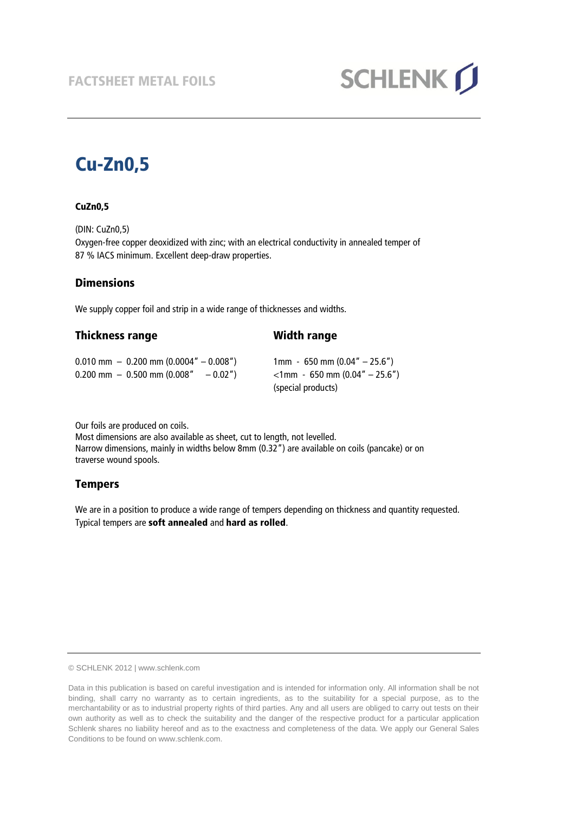

# **Cu-Zn0,5**

#### **CuZn0,5**

(DIN: CuZn0,5) Oxygen-free copper deoxidized with zinc; with an electrical conductivity in annealed temper of 87 % IACS minimum. Excellent deep-draw properties.

#### **Dimensions**

We supply copper foil and strip in a wide range of thicknesses and widths.

**Thickness range Width range**

| $0.010$ mm $-0.200$ mm $(0.0004'' - 0.008'')$<br>$0.200$ mm $-0.500$ mm (0.008"<br>$-0.02"$ | $1 \text{mm} - 650 \text{mm} (0.04'' - 25.6'')$<br>$\langle$ 1mm - 650 mm (0.04″ – 25.6″) |
|---------------------------------------------------------------------------------------------|-------------------------------------------------------------------------------------------|
|                                                                                             | (special products)                                                                        |

Our foils are produced on coils.

Most dimensions are also available as sheet, cut to length, not levelled. Narrow dimensions, mainly in widths below 8mm (0.32") are available on coils (pancake) or on traverse wound spools.

### **Tempers**

We are in a position to produce a wide range of tempers depending on thickness and quantity requested. Typical tempers are **soft annealed** and **hard as rolled**.

© SCHLENK 2012 | www.schlenk.com

Data in this publication is based on careful investigation and is intended for information only. All information shall be not binding, shall carry no warranty as to certain ingredients, as to the suitability for a special purpose, as to the merchantability or as to industrial property rights of third parties. Any and all users are obliged to carry out tests on their own authority as well as to check the suitability and the danger of the respective product for a particular application Schlenk shares no liability hereof and as to the exactness and completeness of the data. We apply our General Sales Conditions to be found on www.schlenk.com.